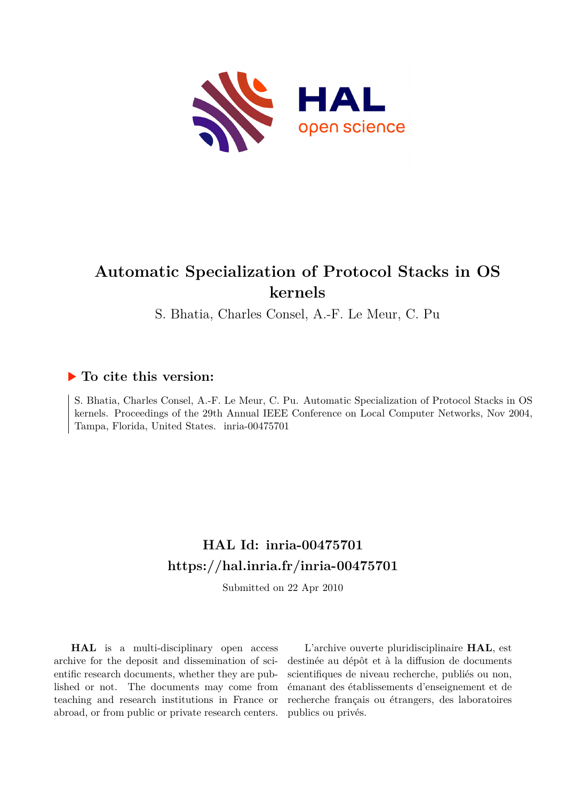

## **Automatic Specialization of Protocol Stacks in OS kernels**

S. Bhatia, Charles Consel, A.-F. Le Meur, C. Pu

### **To cite this version:**

S. Bhatia, Charles Consel, A.-F. Le Meur, C. Pu. Automatic Specialization of Protocol Stacks in OS kernels. Proceedings of the 29th Annual IEEE Conference on Local Computer Networks, Nov 2004, Tampa, Florida, United States. inria-00475701

## **HAL Id: inria-00475701 <https://hal.inria.fr/inria-00475701>**

Submitted on 22 Apr 2010

**HAL** is a multi-disciplinary open access archive for the deposit and dissemination of scientific research documents, whether they are published or not. The documents may come from teaching and research institutions in France or abroad, or from public or private research centers.

L'archive ouverte pluridisciplinaire **HAL**, est destinée au dépôt et à la diffusion de documents scientifiques de niveau recherche, publiés ou non, émanant des établissements d'enseignement et de recherche français ou étrangers, des laboratoires publics ou privés.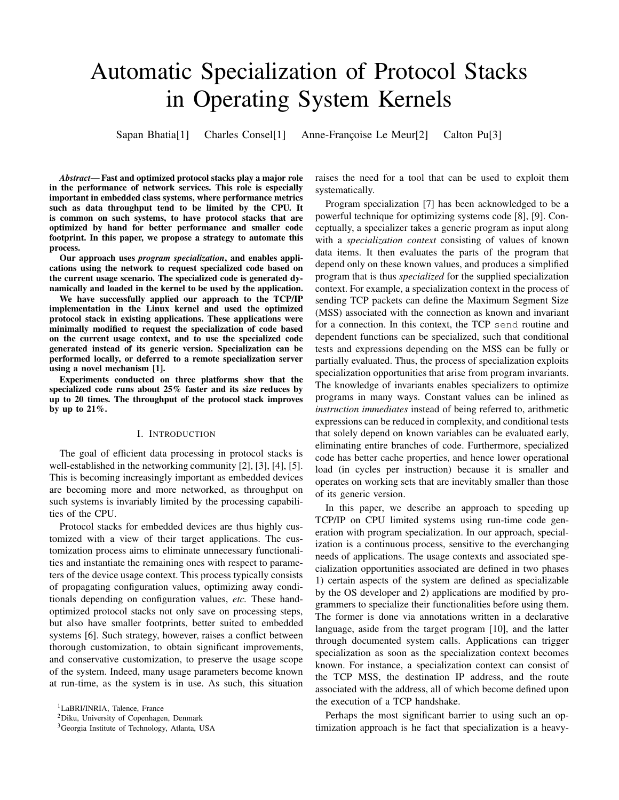# Automatic Specialization of Protocol Stacks in Operating System Kernels

Sapan Bhatia<sup>[1]</sup> Charles Consel<sup>[1]</sup> Anne-Françoise Le Meur<sup>[2]</sup> Calton Pu<sup>[3]</sup>

raises the need for a tool that can be used to exploit them systematically.

*Abstract***— Fast and optimized protocol stacks play a major role in the performance of network services. This role is especially important in embedded class systems, where performance metrics such as data throughput tend to be limited by the CPU. It is common on such systems, to have protocol stacks that are optimized by hand for better performance and smaller code footprint. In this paper, we propose a strategy to automate this process.**

**Our approach uses** *program specialization***, and enables applications using the network to request specialized code based on the current usage scenario. The specialized code is generated dynamically and loaded in the kernel to be used by the application.**

**We have successfully applied our approach to the TCP/IP implementation in the Linux kernel and used the optimized protocol stack in existing applications. These applications were minimally modified to request the specialization of code based on the current usage context, and to use the specialized code generated instead of its generic version. Specialization can be performed locally, or deferred to a remote specialization server using a novel mechanism [1].**

**Experiments conducted on three platforms show that the specialized code runs about 25% faster and its size reduces by up to 20 times. The throughput of the protocol stack improves by up to 21%.**

#### I. INTRODUCTION

The goal of efficient data processing in protocol stacks is well-established in the networking community [2], [3], [4], [5]. This is becoming increasingly important as embedded devices are becoming more and more networked, as throughput on such systems is invariably limited by the processing capabilities of the CPU.

Protocol stacks for embedded devices are thus highly customized with a view of their target applications. The customization process aims to eliminate unnecessary functionalities and instantiate the remaining ones with respect to parameters of the device usage context. This process typically consists of propagating configuration values, optimizing away conditionals depending on configuration values, *etc.* These handoptimized protocol stacks not only save on processing steps, but also have smaller footprints, better suited to embedded systems [6]. Such strategy, however, raises a conflict between thorough customization, to obtain significant improvements, and conservative customization, to preserve the usage scope of the system. Indeed, many usage parameters become known at run-time, as the system is in use. As such, this situation

Program specialization [7] has been acknowledged to be a powerful technique for optimizing systems code [8], [9]. Conceptually, a specializer takes a generic program as input along with a *specialization context* consisting of values of known data items. It then evaluates the parts of the program that depend only on these known values, and produces a simplified program that is thus *specialized* for the supplied specialization context. For example, a specialization context in the process of sending TCP packets can define the Maximum Segment Size (MSS) associated with the connection as known and invariant for a connection. In this context, the TCP send routine and dependent functions can be specialized, such that conditional tests and expressions depending on the MSS can be fully or partially evaluated. Thus, the process of specialization exploits specialization opportunities that arise from program invariants. The knowledge of invariants enables specializers to optimize programs in many ways. Constant values can be inlined as *instruction immediates* instead of being referred to, arithmetic expressions can be reduced in complexity, and conditional tests that solely depend on known variables can be evaluated early, eliminating entire branches of code. Furthermore, specialized code has better cache properties, and hence lower operational load (in cycles per instruction) because it is smaller and operates on working sets that are inevitably smaller than those of its generic version.

In this paper, we describe an approach to speeding up TCP/IP on CPU limited systems using run-time code generation with program specialization. In our approach, specialization is a continuous process, sensitive to the everchanging needs of applications. The usage contexts and associated specialization opportunities associated are defined in two phases 1) certain aspects of the system are defined as specializable by the OS developer and 2) applications are modified by programmers to specialize their functionalities before using them. The former is done via annotations written in a declarative language, aside from the target program [10], and the latter through documented system calls. Applications can trigger specialization as soon as the specialization context becomes known. For instance, a specialization context can consist of the TCP MSS, the destination IP address, and the route associated with the address, all of which become defined upon the execution of a TCP handshake.

Perhaps the most significant barrier to using such an optimization approach is he fact that specialization is a heavy-

<sup>&</sup>lt;sup>1</sup>LaBRI/INRIA, Talence, France

<sup>2</sup>Diku, University of Copenhagen, Denmark

<sup>3</sup>Georgia Institute of Technology, Atlanta, USA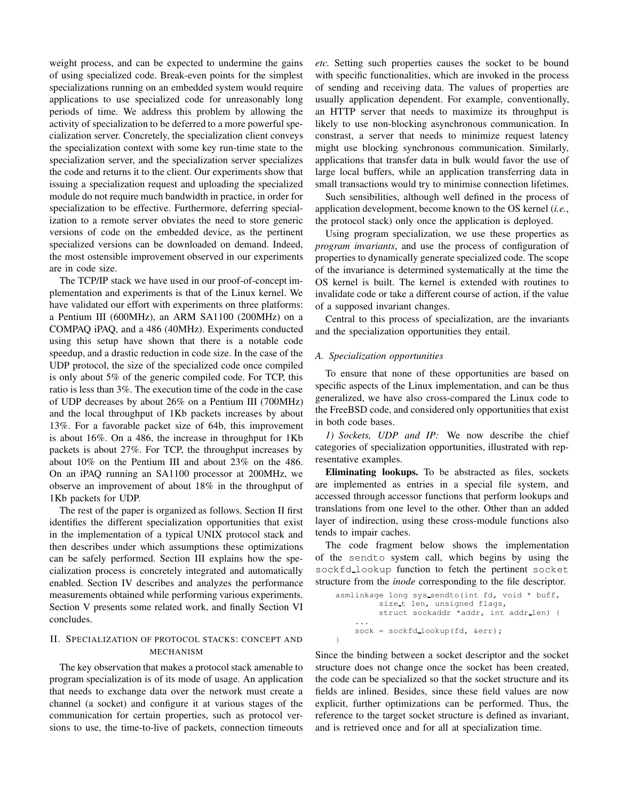weight process, and can be expected to undermine the gains of using specialized code. Break-even points for the simplest specializations running on an embedded system would require applications to use specialized code for unreasonably long periods of time. We address this problem by allowing the activity of specialization to be deferred to a more powerful specialization server. Concretely, the specialization client conveys the specialization context with some key run-time state to the specialization server, and the specialization server specializes the code and returns it to the client. Our experiments show that issuing a specialization request and uploading the specialized module do not require much bandwidth in practice, in order for specialization to be effective. Furthermore, deferring specialization to a remote server obviates the need to store generic versions of code on the embedded device, as the pertinent specialized versions can be downloaded on demand. Indeed, the most ostensible improvement observed in our experiments are in code size.

The TCP/IP stack we have used in our proof-of-concept implementation and experiments is that of the Linux kernel. We have validated our effort with experiments on three platforms: a Pentium III (600MHz), an ARM SA1100 (200MHz) on a COMPAQ iPAQ, and a 486 (40MHz). Experiments conducted using this setup have shown that there is a notable code speedup, and a drastic reduction in code size. In the case of the UDP protocol, the size of the specialized code once compiled is only about 5% of the generic compiled code. For TCP, this ratio is less than 3%. The execution time of the code in the case of UDP decreases by about 26% on a Pentium III (700MHz) and the local throughput of 1Kb packets increases by about 13%. For a favorable packet size of 64b, this improvement is about 16%. On a 486, the increase in throughput for 1Kb packets is about 27%. For TCP, the throughput increases by about 10% on the Pentium III and about 23% on the 486. On an iPAQ running an SA1100 processor at 200MHz, we observe an improvement of about 18% in the throughput of 1Kb packets for UDP.

The rest of the paper is organized as follows. Section II first identifies the different specialization opportunities that exist in the implementation of a typical UNIX protocol stack and then describes under which assumptions these optimizations can be safely performed. Section III explains how the specialization process is concretely integrated and automatically enabled. Section IV describes and analyzes the performance measurements obtained while performing various experiments. Section V presents some related work, and finally Section VI concludes.

#### II. SPECIALIZATION OF PROTOCOL STACKS: CONCEPT AND MECHANISM

The key observation that makes a protocol stack amenable to program specialization is of its mode of usage. An application that needs to exchange data over the network must create a channel (a socket) and configure it at various stages of the communication for certain properties, such as protocol versions to use, the time-to-live of packets, connection timeouts *etc.* Setting such properties causes the socket to be bound with specific functionalities, which are invoked in the process of sending and receiving data. The values of properties are usually application dependent. For example, conventionally, an HTTP server that needs to maximize its throughput is likely to use non-blocking asynchronous communication. In constrast, a server that needs to minimize request latency might use blocking synchronous communication. Similarly, applications that transfer data in bulk would favor the use of large local buffers, while an application transferring data in small transactions would try to minimise connection lifetimes.

Such sensibilities, although well defined in the process of application development, become known to the OS kernel (*i.e.*, the protocol stack) only once the application is deployed.

Using program specialization, we use these properties as *program invariants*, and use the process of configuration of properties to dynamically generate specialized code. The scope of the invariance is determined systematically at the time the OS kernel is built. The kernel is extended with routines to invalidate code or take a different course of action, if the value of a supposed invariant changes.

Central to this process of specialization, are the invariants and the specialization opportunities they entail.

#### *A. Specialization opportunities*

To ensure that none of these opportunities are based on specific aspects of the Linux implementation, and can be thus generalized, we have also cross-compared the Linux code to the FreeBSD code, and considered only opportunities that exist in both code bases.

*1) Sockets, UDP and IP:* We now describe the chief categories of specialization opportunities, illustrated with representative examples.

**Eliminating lookups.** To be abstracted as files, sockets are implemented as entries in a special file system, and accessed through accessor functions that perform lookups and translations from one level to the other. Other than an added layer of indirection, using these cross-module functions also tends to impair caches.

The code fragment below shows the implementation of the sendto system call, which begins by using the sockfd lookup function to fetch the pertinent socket structure from the *inode* corresponding to the file descriptor.

```
asmlinkage long sys_sendto(int fd, void * buff,
         size_t len, unsigned flags,
         struct sockaddr *addr, int addr len) {
    ...
    sock = sockfd lookup(fd, &err);
}
```
Since the binding between a socket descriptor and the socket structure does not change once the socket has been created, the code can be specialized so that the socket structure and its fields are inlined. Besides, since these field values are now explicit, further optimizations can be performed. Thus, the reference to the target socket structure is defined as invariant, and is retrieved once and for all at specialization time.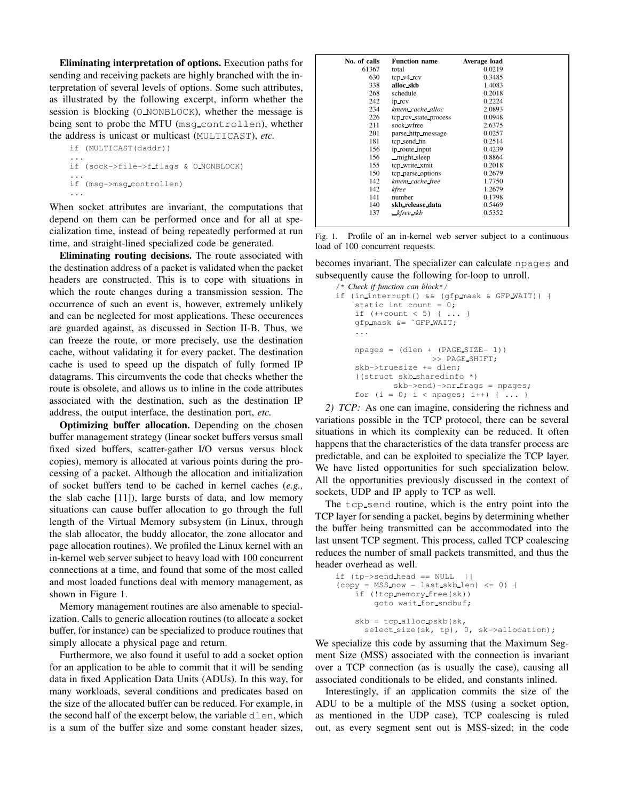**Eliminating interpretation of options.** Execution paths for sending and receiving packets are highly branched with the interpretation of several levels of options. Some such attributes, as illustrated by the following excerpt, inform whether the session is blocking (O NONBLOCK), whether the message is being sent to probe the MTU (msg controllen), whether the address is unicast or multicast (MULTICAST), *etc.*

```
if (MULTICAST(daddr))
...
if (sock->file->f flags & O NONBLOCK)
...
if (msg->msg controllen)
...
```
When socket attributes are invariant, the computations that depend on them can be performed once and for all at specialization time, instead of being repeatedly performed at run time, and straight-lined specialized code be generated.

**Eliminating routing decisions.** The route associated with the destination address of a packet is validated when the packet headers are constructed. This is to cope with situations in which the route changes during a transmission session. The occurrence of such an event is, however, extremely unlikely and can be neglected for most applications. These occurences are guarded against, as discussed in Section II-B. Thus, we can freeze the route, or more precisely, use the destination cache, without validating it for every packet. The destination cache is used to speed up the dispatch of fully formed IP datagrams. This circumvents the code that checks whether the route is obsolete, and allows us to inline in the code attributes associated with the destination, such as the destination IP address, the output interface, the destination port, *etc.*

**Optimizing buffer allocation.** Depending on the chosen buffer management strategy (linear socket buffers versus small fixed sized buffers, scatter-gather I/O versus versus block copies), memory is allocated at various points during the processing of a packet. Although the allocation and initialization of socket buffers tend to be cached in kernel caches (*e.g.,* the slab cache [11]), large bursts of data, and low memory situations can cause buffer allocation to go through the full length of the Virtual Memory subsystem (in Linux, through the slab allocator, the buddy allocator, the zone allocator and page allocation routines). We profiled the Linux kernel with an in-kernel web server subject to heavy load with 100 concurrent connections at a time, and found that some of the most called and most loaded functions deal with memory management, as shown in Figure 1.

Memory management routines are also amenable to specialization. Calls to generic allocation routines (to allocate a socket buffer, for instance) can be specialized to produce routines that simply allocate a physical page and return.

Furthermore, we also found it useful to add a socket option for an application to be able to commit that it will be sending data in fixed Application Data Units (ADUs). In this way, for many workloads, several conditions and predicates based on the size of the allocated buffer can be reduced. For example, in the second half of the excerpt below, the variable dlen, which is a sum of the buffer size and some constant header sizes,

| No. of calls | <b>Function name</b>  | Average load |  |
|--------------|-----------------------|--------------|--|
| 61367        | total                 | 0.0219       |  |
| 630          | tcp v4 rcv            | 0.3485       |  |
| 338          | alloc_skb             | 1.4083       |  |
| 268          | schedule              | 0.2018       |  |
| 242          | ip rcv                | 0.2224       |  |
| 234          | kmem_cache_alloc      | 2.0893       |  |
| 226          | tcp_rcv_state_process | 0.0948       |  |
| 211          | sock wfree            | 2.6375       |  |
| 201          | parse http message    | 0.0257       |  |
| 181          | tcp_send_fin          | 0.2514       |  |
| 156          | ip route input        | 0.4239       |  |
| 156          | might sleep           | 0.8864       |  |
| 155          | tcp write xmit        | 0.2018       |  |
| 150          | tcp_parse_options     | 0.2679       |  |
| 142          | kmem cache free       | 1.7750       |  |
| 142          | kfree                 | 1.2679       |  |
| 141          | number                | 0.1798       |  |
| 140          | skb_release_data      | 0.5469       |  |
| 137          | _kfree_skb            | 0.5352       |  |
|              |                       |              |  |

Fig. 1. Profile of an in-kernel web server subject to a continuous load of 100 concurrent requests.

becomes invariant. The specializer can calculate npages and subsequently cause the following for-loop to unroll.

```
/* Check if function can block*/
if (in interrupt() && (gfp mask & GFP WAIT)) {
    static int count = 0;
    if (++count < 5) { ... }
    gfp mask &= ˜GFP WAIT;
    ...
    npages = (dlen + (PAGE SIZE- 1))
                    >> PAGE SHIFT;
    skb->truesize += dlen;
    ((struct skb sharedinfo *)
            skb->end)->nr frags = npages;
    for (i = 0; i < npages; i++) { ... }
```
*2) TCP:* As one can imagine, considering the richness and variations possible in the TCP protocol, there can be several situations in which its complexity can be reduced. It often happens that the characteristics of the data transfer process are predictable, and can be exploited to specialize the TCP layer. We have listed opportunities for such specialization below. All the opportunities previously discussed in the context of sockets, UDP and IP apply to TCP as well.

The tcp send routine, which is the entry point into the TCP layer for sending a packet, begins by determining whether the buffer being transmitted can be accommodated into the last unsent TCP segment. This process, called TCP coalescing reduces the number of small packets transmitted, and thus the header overhead as well.

```
if (tp->send head == NULL ||
(copy = MSS now - last skb len) <= 0) {
    if (!tcp memory free(sk))
        goto wait for sndbuf;
    skb = tcp alloc pskb(sk,
      select_size(sk, tp), 0, sk->allocation);
```
We specialize this code by assuming that the Maximum Segment Size (MSS) associated with the connection is invariant over a TCP connection (as is usually the case), causing all associated conditionals to be elided, and constants inlined.

Interestingly, if an application commits the size of the ADU to be a multiple of the MSS (using a socket option, as mentioned in the UDP case), TCP coalescing is ruled out, as every segment sent out is MSS-sized; in the code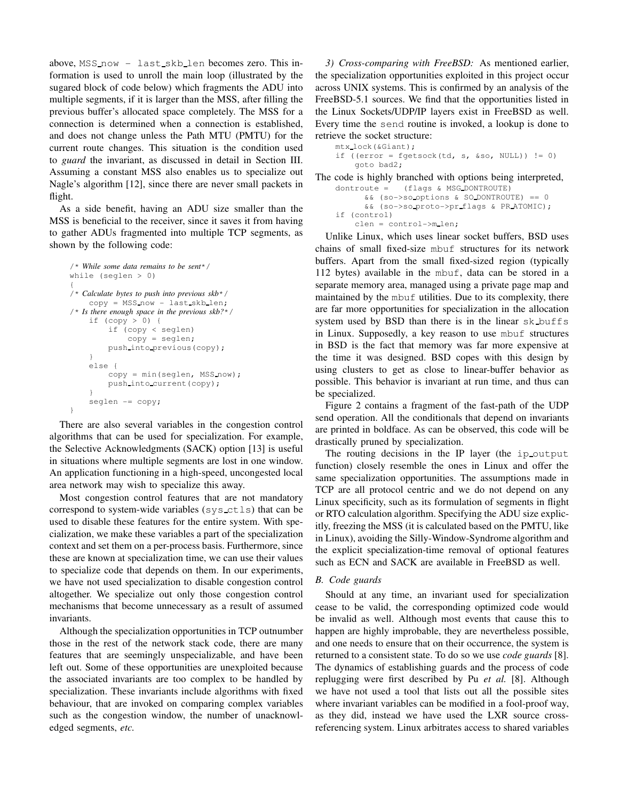above, MSS now - last skb len becomes zero. This information is used to unroll the main loop (illustrated by the sugared block of code below) which fragments the ADU into multiple segments, if it is larger than the MSS, after filling the previous buffer's allocated space completely. The MSS for a connection is determined when a connection is established, and does not change unless the Path MTU (PMTU) for the current route changes. This situation is the condition used to *guard* the invariant, as discussed in detail in Section III. Assuming a constant MSS also enables us to specialize out Nagle's algorithm [12], since there are never small packets in flight.

As a side benefit, having an ADU size smaller than the MSS is beneficial to the receiver, since it saves it from having to gather ADUs fragmented into multiple TCP segments, as shown by the following code:

```
/* While some data remains to be sent*/
while (seglen > 0)
{
/* Calculate bytes to push into previous skb*/
    copy = MSS now - last skb len;
/* Is there enough space in the previous skb?*/
    if (copy > 0) {
         if (copy < seglen)
             copy = seglen;push into previous(copy);
     }
    else {
         copy = min(seglen, MSS now);
         push into current(copy);
     }
    seglen -= copy;
}
```
There are also several variables in the congestion control algorithms that can be used for specialization. For example, the Selective Acknowledgments (SACK) option [13] is useful in situations where multiple segments are lost in one window. An application functioning in a high-speed, uncongested local area network may wish to specialize this away.

Most congestion control features that are not mandatory correspond to system-wide variables (sys\_ctls) that can be used to disable these features for the entire system. With specialization, we make these variables a part of the specialization context and set them on a per-process basis. Furthermore, since these are known at specialization time, we can use their values to specialize code that depends on them. In our experiments, we have not used specialization to disable congestion control altogether. We specialize out only those congestion control mechanisms that become unnecessary as a result of assumed invariants.

Although the specialization opportunities in TCP outnumber those in the rest of the network stack code, there are many features that are seemingly unspecializable, and have been left out. Some of these opportunities are unexploited because the associated invariants are too complex to be handled by specialization. These invariants include algorithms with fixed behaviour, that are invoked on comparing complex variables such as the congestion window, the number of unacknowledged segments, *etc.*

*3) Cross-comparing with FreeBSD:* As mentioned earlier, the specialization opportunities exploited in this project occur across UNIX systems. This is confirmed by an analysis of the FreeBSD-5.1 sources. We find that the opportunities listed in the Linux Sockets/UDP/IP layers exist in FreeBSD as well. Every time the send routine is invoked, a lookup is done to retrieve the socket structure:

```
mtx lock(&Giant);
if ((error = fgetsock(td, s, \&so, NULL)) != 0)
    goto bad2;
```
The code is highly branched with options being interpreted,

```
dontroute = (flags & MSG DONTROUTE)
      && (so->so options & SO DONTROUTE) == 0
      && (so->so proto->pr flags & PR ATOMIC);
if (control)
    clen = control->m len;
```
Unlike Linux, which uses linear socket buffers, BSD uses chains of small fixed-size mbuf structures for its network buffers. Apart from the small fixed-sized region (typically 112 bytes) available in the mbuf, data can be stored in a separate memory area, managed using a private page map and maintained by the mbuf utilities. Due to its complexity, there are far more opportunities for specialization in the allocation system used by BSD than there is in the linear sk\_buffs in Linux. Supposedly, a key reason to use mbuf structures in BSD is the fact that memory was far more expensive at the time it was designed. BSD copes with this design by using clusters to get as close to linear-buffer behavior as possible. This behavior is invariant at run time, and thus can be specialized.

Figure 2 contains a fragment of the fast-path of the UDP send operation. All the conditionals that depend on invariants are printed in boldface. As can be observed, this code will be drastically pruned by specialization.

The routing decisions in the IP layer (the ip output function) closely resemble the ones in Linux and offer the same specialization opportunities. The assumptions made in TCP are all protocol centric and we do not depend on any Linux specificity, such as its formulation of segments in flight or RTO calculation algorithm. Specifying the ADU size explicitly, freezing the MSS (it is calculated based on the PMTU, like in Linux), avoiding the Silly-Window-Syndrome algorithm and the explicit specialization-time removal of optional features such as ECN and SACK are available in FreeBSD as well.

#### *B. Code guards*

Should at any time, an invariant used for specialization cease to be valid, the corresponding optimized code would be invalid as well. Although most events that cause this to happen are highly improbable, they are nevertheless possible, and one needs to ensure that on their occurrence, the system is returned to a consistent state. To do so we use *code guards* [8]. The dynamics of establishing guards and the process of code replugging were first described by Pu *et al.* [8]. Although we have not used a tool that lists out all the possible sites where invariant variables can be modified in a fool-proof way, as they did, instead we have used the LXR source crossreferencing system. Linux arbitrates access to shared variables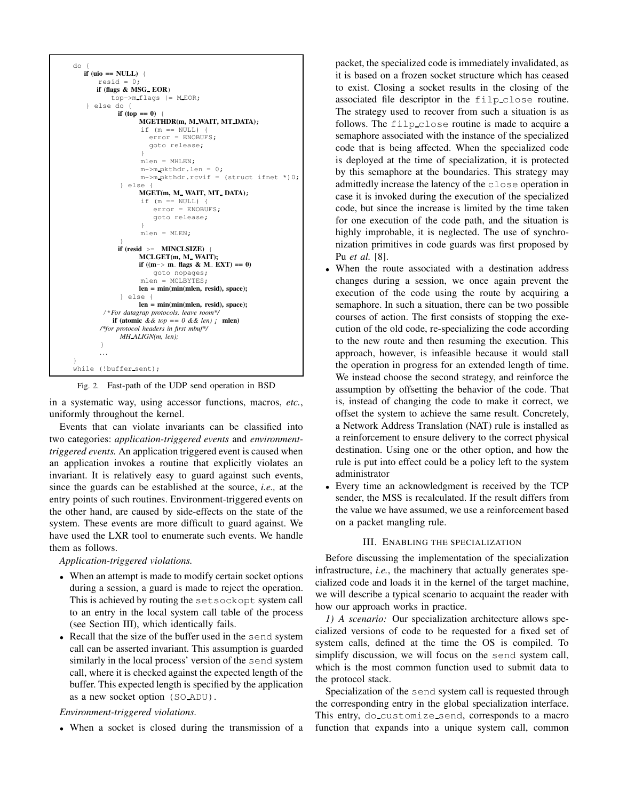

Fig. 2. Fast-path of the UDP send operation in BSD

in a systematic way, using accessor functions, macros, *etc.*, uniformly throughout the kernel.

Events that can violate invariants can be classified into two categories: *application-triggered events* and *environmenttriggered events.* An application triggered event is caused when an application invokes a routine that explicitly violates an invariant. It is relatively easy to guard against such events, since the guards can be established at the source, *i.e.,* at the entry points of such routines. Environment-triggered events on the other hand, are caused by side-effects on the state of the system. These events are more difficult to guard against. We have used the LXR tool to enumerate such events. We handle them as follows.

*Application-triggered violations.*

- When an attempt is made to modify certain socket options during a session, a guard is made to reject the operation. This is achieved by routing the setsockopt system call to an entry in the local system call table of the process (see Section III), which identically fails.
- Recall that the size of the buffer used in the send system call can be asserted invariant. This assumption is guarded similarly in the local process' version of the send system call, where it is checked against the expected length of the buffer. This expected length is specified by the application as a new socket option (SO ADU).

#### *Environment-triggered violations.*

• When a socket is closed during the transmission of a

packet, the specialized code is immediately invalidated, as it is based on a frozen socket structure which has ceased to exist. Closing a socket results in the closing of the associated file descriptor in the filp close routine. The strategy used to recover from such a situation is as follows. The filp close routine is made to acquire a semaphore associated with the instance of the specialized code that is being affected. When the specialized code is deployed at the time of specialization, it is protected by this semaphore at the boundaries. This strategy may admittedly increase the latency of the close operation in case it is invoked during the execution of the specialized code, but since the increase is limited by the time taken for one execution of the code path, and the situation is highly improbable, it is neglected. The use of synchronization primitives in code guards was first proposed by Pu *et al.* [8].

- When the route associated with a destination address changes during a session, we once again prevent the execution of the code using the route by acquiring a semaphore. In such a situation, there can be two possible courses of action. The first consists of stopping the execution of the old code, re-specializing the code according to the new route and then resuming the execution. This approach, however, is infeasible because it would stall the operation in progress for an extended length of time. We instead choose the second strategy, and reinforce the assumption by offsetting the behavior of the code. That is, instead of changing the code to make it correct, we offset the system to achieve the same result. Concretely, a Network Address Translation (NAT) rule is installed as a reinforcement to ensure delivery to the correct physical destination. Using one or the other option, and how the rule is put into effect could be a policy left to the system administrator
- Every time an acknowledgment is received by the TCP sender, the MSS is recalculated. If the result differs from the value we have assumed, we use a reinforcement based on a packet mangling rule.

#### III. ENABLING THE SPECIALIZATION

Before discussing the implementation of the specialization infrastructure, *i.e.*, the machinery that actually generates specialized code and loads it in the kernel of the target machine, we will describe a typical scenario to acquaint the reader with how our approach works in practice.

*1) A scenario:* Our specialization architecture allows specialized versions of code to be requested for a fixed set of system calls, defined at the time the OS is compiled. To simplify discussion, we will focus on the send system call, which is the most common function used to submit data to the protocol stack.

Specialization of the send system call is requested through the corresponding entry in the global specialization interface. This entry, do customize send, corresponds to a macro function that expands into a unique system call, common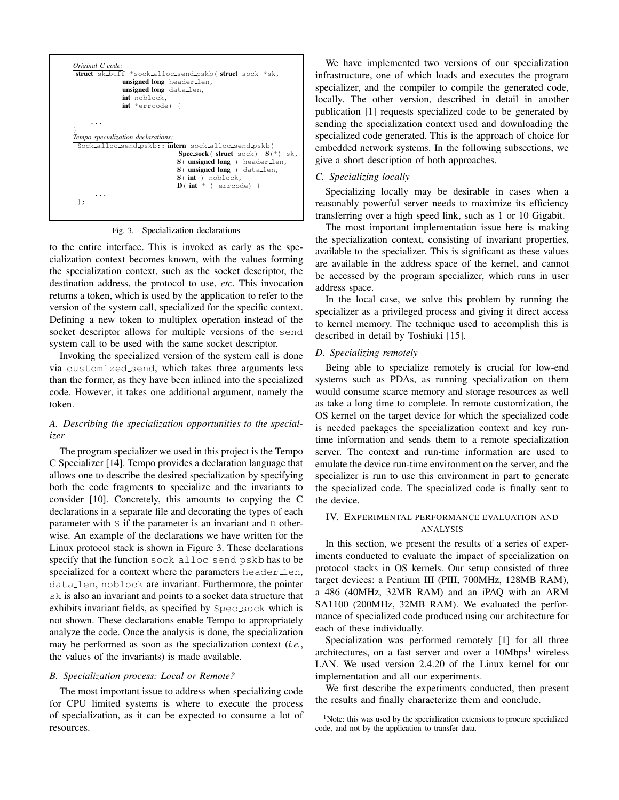

Fig. 3. Specialization declarations

to the entire interface. This is invoked as early as the specialization context becomes known, with the values forming the specialization context, such as the socket descriptor, the destination address, the protocol to use, *etc*. This invocation returns a token, which is used by the application to refer to the version of the system call, specialized for the specific context. Defining a new token to multiplex operation instead of the socket descriptor allows for multiple versions of the send system call to be used with the same socket descriptor.

Invoking the specialized version of the system call is done via customized send, which takes three arguments less than the former, as they have been inlined into the specialized code. However, it takes one additional argument, namely the token.

#### *A. Describing the specialization opportunities to the specializer*

The program specializer we used in this project is the Tempo C Specializer [14]. Tempo provides a declaration language that allows one to describe the desired specialization by specifying both the code fragments to specialize and the invariants to consider [10]. Concretely, this amounts to copying the C declarations in a separate file and decorating the types of each parameter with S if the parameter is an invariant and D otherwise. An example of the declarations we have written for the Linux protocol stack is shown in Figure 3. These declarations specify that the function sock alloc send pskb has to be specialized for a context where the parameters header len, data len, noblock are invariant. Furthermore, the pointer sk is also an invariant and points to a socket data structure that exhibits invariant fields, as specified by Spec sock which is not shown. These declarations enable Tempo to appropriately analyze the code. Once the analysis is done, the specialization may be performed as soon as the specialization context (*i.e.*, the values of the invariants) is made available.

#### *B. Specialization process: Local or Remote?*

The most important issue to address when specializing code for CPU limited systems is where to execute the process of specialization, as it can be expected to consume a lot of resources.

We have implemented two versions of our specialization infrastructure, one of which loads and executes the program specializer, and the compiler to compile the generated code, locally. The other version, described in detail in another publication [1] requests specialized code to be generated by sending the specialization context used and downloading the specialized code generated. This is the approach of choice for embedded network systems. In the following subsections, we give a short description of both approaches.

#### *C. Specializing locally*

Specializing locally may be desirable in cases when a reasonably powerful server needs to maximize its efficiency transferring over a high speed link, such as 1 or 10 Gigabit.

The most important implementation issue here is making the specialization context, consisting of invariant properties, available to the specializer. This is significant as these values are available in the address space of the kernel, and cannot be accessed by the program specializer, which runs in user address space.

In the local case, we solve this problem by running the specializer as a privileged process and giving it direct access to kernel memory. The technique used to accomplish this is described in detail by Toshiuki [15].

#### *D. Specializing remotely*

Being able to specialize remotely is crucial for low-end systems such as PDAs, as running specialization on them would consume scarce memory and storage resources as well as take a long time to complete. In remote customization, the OS kernel on the target device for which the specialized code is needed packages the specialization context and key runtime information and sends them to a remote specialization server. The context and run-time information are used to emulate the device run-time environment on the server, and the specializer is run to use this environment in part to generate the specialized code. The specialized code is finally sent to the device.

#### IV. EXPERIMENTAL PERFORMANCE EVALUATION AND ANALYSIS

In this section, we present the results of a series of experiments conducted to evaluate the impact of specialization on protocol stacks in OS kernels. Our setup consisted of three target devices: a Pentium III (PIII, 700MHz, 128MB RAM), a 486 (40MHz, 32MB RAM) and an iPAQ with an ARM SA1100 (200MHz, 32MB RAM). We evaluated the performance of specialized code produced using our architecture for each of these individually.

Specialization was performed remotely [1] for all three architectures, on a fast server and over a  $10Mbps<sup>1</sup>$  wireless LAN. We used version 2.4.20 of the Linux kernel for our implementation and all our experiments.

We first describe the experiments conducted, then present the results and finally characterize them and conclude.

<sup>&</sup>lt;sup>1</sup>Note: this was used by the specialization extensions to procure specialized code, and not by the application to transfer data.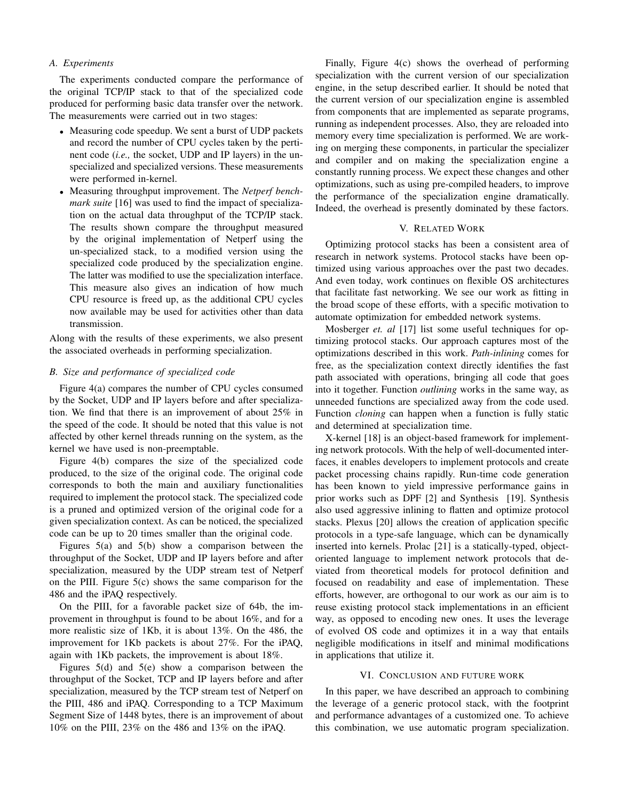#### *A. Experiments*

The experiments conducted compare the performance of the original TCP/IP stack to that of the specialized code produced for performing basic data transfer over the network. The measurements were carried out in two stages:

- Measuring code speedup. We sent a burst of UDP packets and record the number of CPU cycles taken by the pertinent code (*i.e.,* the socket, UDP and IP layers) in the unspecialized and specialized versions. These measurements were performed in-kernel.
- Measuring throughput improvement. The *Netperf benchmark suite* [16] was used to find the impact of specialization on the actual data throughput of the TCP/IP stack. The results shown compare the throughput measured by the original implementation of Netperf using the un-specialized stack, to a modified version using the specialized code produced by the specialization engine. The latter was modified to use the specialization interface. This measure also gives an indication of how much CPU resource is freed up, as the additional CPU cycles now available may be used for activities other than data transmission.

Along with the results of these experiments, we also present the associated overheads in performing specialization.

#### *B. Size and performance of specialized code*

Figure 4(a) compares the number of CPU cycles consumed by the Socket, UDP and IP layers before and after specialization. We find that there is an improvement of about 25% in the speed of the code. It should be noted that this value is not affected by other kernel threads running on the system, as the kernel we have used is non-preemptable.

Figure 4(b) compares the size of the specialized code produced, to the size of the original code. The original code corresponds to both the main and auxiliary functionalities required to implement the protocol stack. The specialized code is a pruned and optimized version of the original code for a given specialization context. As can be noticed, the specialized code can be up to 20 times smaller than the original code.

Figures 5(a) and 5(b) show a comparison between the throughput of the Socket, UDP and IP layers before and after specialization, measured by the UDP stream test of Netperf on the PIII. Figure 5(c) shows the same comparison for the 486 and the iPAQ respectively.

On the PIII, for a favorable packet size of 64b, the improvement in throughput is found to be about 16%, and for a more realistic size of 1Kb, it is about 13%. On the 486, the improvement for 1Kb packets is about 27%. For the iPAQ, again with 1Kb packets, the improvement is about 18%.

Figures 5(d) and 5(e) show a comparison between the throughput of the Socket, TCP and IP layers before and after specialization, measured by the TCP stream test of Netperf on the PIII, 486 and iPAQ. Corresponding to a TCP Maximum Segment Size of 1448 bytes, there is an improvement of about 10% on the PIII, 23% on the 486 and 13% on the iPAQ.

Finally, Figure 4(c) shows the overhead of performing specialization with the current version of our specialization engine, in the setup described earlier. It should be noted that the current version of our specialization engine is assembled from components that are implemented as separate programs, running as independent processes. Also, they are reloaded into memory every time specialization is performed. We are working on merging these components, in particular the specializer and compiler and on making the specialization engine a constantly running process. We expect these changes and other optimizations, such as using pre-compiled headers, to improve the performance of the specialization engine dramatically. Indeed, the overhead is presently dominated by these factors.

#### V. RELATED WORK

Optimizing protocol stacks has been a consistent area of research in network systems. Protocol stacks have been optimized using various approaches over the past two decades. And even today, work continues on flexible OS architectures that facilitate fast networking. We see our work as fitting in the broad scope of these efforts, with a specific motivation to automate optimization for embedded network systems.

Mosberger *et. al* [17] list some useful techniques for optimizing protocol stacks. Our approach captures most of the optimizations described in this work. *Path-inlining* comes for free, as the specialization context directly identifies the fast path associated with operations, bringing all code that goes into it together. Function *outlining* works in the same way, as unneeded functions are specialized away from the code used. Function *cloning* can happen when a function is fully static and determined at specialization time.

X-kernel [18] is an object-based framework for implementing network protocols. With the help of well-documented interfaces, it enables developers to implement protocols and create packet processing chains rapidly. Run-time code generation has been known to yield impressive performance gains in prior works such as DPF [2] and Synthesis [19]. Synthesis also used aggressive inlining to flatten and optimize protocol stacks. Plexus [20] allows the creation of application specific protocols in a type-safe language, which can be dynamically inserted into kernels. Prolac [21] is a statically-typed, objectoriented language to implement network protocols that deviated from theoretical models for protocol definition and focused on readability and ease of implementation. These efforts, however, are orthogonal to our work as our aim is to reuse existing protocol stack implementations in an efficient way, as opposed to encoding new ones. It uses the leverage of evolved OS code and optimizes it in a way that entails negligible modifications in itself and minimal modifications in applications that utilize it.

#### VI. CONCLUSION AND FUTURE WORK

In this paper, we have described an approach to combining the leverage of a generic protocol stack, with the footprint and performance advantages of a customized one. To achieve this combination, we use automatic program specialization.